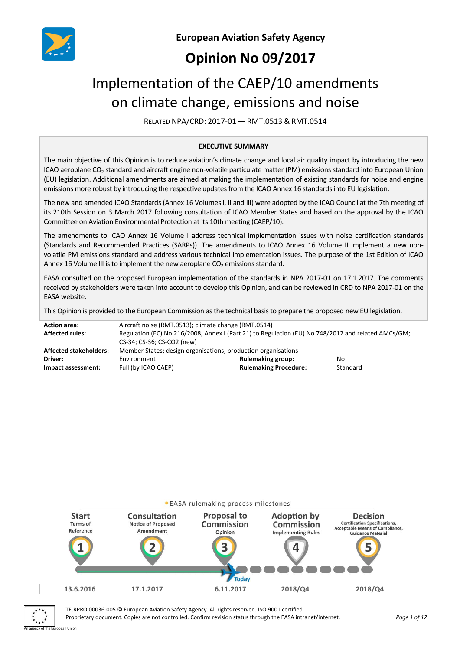

# **Opinion No 09/2017**

# Implementation of the CAEP/10 amendments on climate change, emissions and noise

RELATED NPA/CRD: 2017-01 — RMT.0513 & RMT.0514

#### **EXECUTIVE SUMMARY**

The main objective of this Opinion is to reduce aviation's climate change and local air quality impact by introducing the new ICAO aeroplane  $CO<sub>2</sub>$  standard and aircraft engine non-volatile particulate matter (PM) emissions standard into European Union (EU) legislation. Additional amendments are aimed at making the implementation of existing standards for noise and engine emissions more robust by introducing the respective updates from the ICAO Annex 16 standards into EU legislation.

The new and amended ICAO Standards (Annex 16 Volumes I, II and III) were adopted by the ICAO Council at the 7th meeting of its 210th Session on 3 March 2017 following consultation of ICAO Member States and based on the approval by the ICAO Committee on Aviation Environmental Protection at its 10th meeting (CAEP/10).

The amendments to ICAO Annex 16 Volume I address technical implementation issues with noise certification standards (Standards and Recommended Practices (SARPs)). The amendments to ICAO Annex 16 Volume II implement a new nonvolatile PM emissions standard and address various technical implementation issues. The purpose of the 1st Edition of ICAO Annex 16 Volume III is to implement the new aeroplane  $CO<sub>2</sub>$  emissions standard.

EASA consulted on the proposed European implementation of the standards in NPA 2017-01 on 17.1.2017. The comments received by stakeholders were taken into account to develop this Opinion, and can be reviewed in CRD to NPA 2017-01 on the EASA website.

This Opinion is provided to the European Commission as the technical basis to prepare the proposed new EU legislation.

| <b>Action area:</b>           | Aircraft noise (RMT.0513); climate change (RMT.0514)                                               |                              |          |  |
|-------------------------------|----------------------------------------------------------------------------------------------------|------------------------------|----------|--|
| <b>Affected rules:</b>        | Regulation (EC) No 216/2008; Annex I (Part 21) to Regulation (EU) No 748/2012 and related AMCs/GM; |                              |          |  |
|                               | CS-34; CS-36; CS-CO2 (new)                                                                         |                              |          |  |
| <b>Affected stakeholders:</b> | Member States; design organisations; production organisations                                      |                              |          |  |
| Driver:                       | Environment                                                                                        | <b>Rulemaking group:</b>     | No       |  |
| Impact assessment:            | Full (by ICAO CAEP)                                                                                | <b>Rulemaking Procedure:</b> | Standard |  |
|                               |                                                                                                    |                              |          |  |





An agency of the European Union

TE.RPRO.00036-005 © European Aviation Safety Agency. All rights reserved. ISO 9001 certified. Proprietary document. Copies are not controlled. Confirm revision status through the EASA intranet/internet. *Page 1 of 12*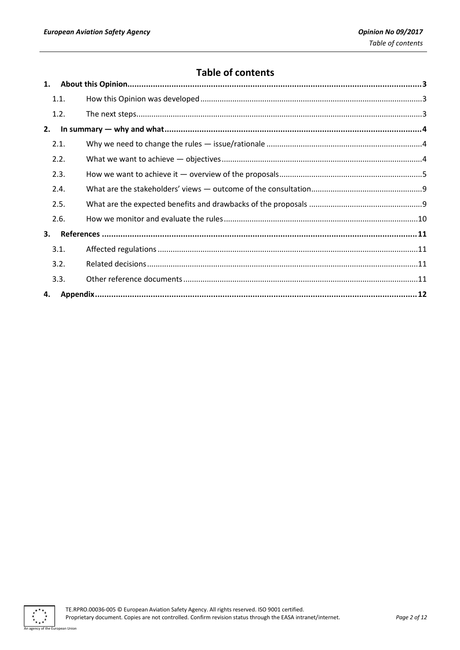# **Table of contents**

|    | 1.1. |  |
|----|------|--|
|    | 1.2. |  |
| 2. |      |  |
|    | 2.1. |  |
|    | 2.2. |  |
|    | 2.3. |  |
|    | 2.4. |  |
|    | 2.5. |  |
|    | 2.6. |  |
| 3. |      |  |
|    | 3.1. |  |
|    | 3.2. |  |
|    | 3.3. |  |
| 4. |      |  |
|    |      |  |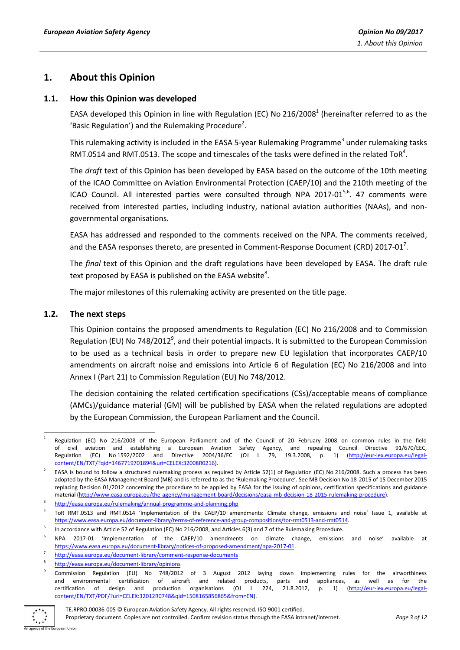# <span id="page-2-0"></span>**1. About this Opinion**

#### <span id="page-2-1"></span>**1.1. How this Opinion was developed**

EASA developed this Opinion in line with Regulation (EC) No 216/2008<sup>1</sup> (hereinafter referred to as the 'Basic Regulation') and the Rulemaking Procedure<sup>2</sup>.

This rulemaking activity is included in the EASA 5-year Rulemaking Programme<sup>3</sup> under rulemaking tasks RMT.0514 and RMT.0513. The scope and timescales of the tasks were defined in the related ToR<sup>4</sup>.

The *draft* text of this Opinion has been developed by EASA based on the outcome of the 10th meeting of the ICAO Committee on Aviation Environmental Protection (CAEP/10) and the 210th meeting of the ICAO Council. All interested parties were consulted through NPA 2017-01<sup>5,6</sup>. 47 comments were received from interested parties, including industry, national aviation authorities (NAAs), and nongovernmental organisations.

EASA has addressed and responded to the comments received on the NPA. The comments received, and the EASA responses thereto, are presented in Comment-Response Document (CRD) 2017-01<sup>7</sup>.

The *final* text of this Opinion and the draft regulations have been developed by EASA. The draft rule text proposed by EASA is published on the EASA website $^8$ .

The major milestones of this rulemaking activity are presented on the title page.

## <span id="page-2-2"></span>**1.2. The next steps**

This Opinion contains the proposed amendments to Regulation (EC) No 216/2008 and to Commission Regulation (EU) No 748/2012<sup>9</sup>, and their potential impacts. It is submitted to the European Commission to be used as a technical basis in order to prepare new EU legislation that incorporates CAEP/10 amendments on aircraft noise and emissions into Article 6 of Regulation (EC) No 216/2008 and into Annex I (Part 21) to Commission Regulation (EU) No 748/2012.

The decision containing the related certification specifications (CSs)/acceptable means of compliance (AMCs)/guidance material (GM) will be published by EASA when the related regulations are adopted by the European Commission, the European Parliament and the Council.

<sup>9</sup> Commission Regulation (EU) No 748/2012 of 3 August 2012 laying down implementing rules for the airworthiness and environmental certification of aircraft and related products, parts and appliances, as well as for the certification of design and production organisations (OJ L 224, 21.8.2012, p. 1) [\(http://eur-lex.europa.eu/legal](http://eur-lex.europa.eu/legal-content/EN/TXT/PDF/?uri=CELEX:32012R0748&qid=1508165856865&from=EN)[content/EN/TXT/PDF/?uri=CELEX:32012R0748&qid=1508165856865&from=EN\)](http://eur-lex.europa.eu/legal-content/EN/TXT/PDF/?uri=CELEX:32012R0748&qid=1508165856865&from=EN).



**<sup>.</sup>** 1 Regulation (EC) No 216/2008 of the European Parliament and of the Council of 20 February 2008 on common rules in the field of civil aviation and establishing a European Aviation Safety Agency, and repealing Council Directive 91/670/EEC,<br>Regulation (EC) No.1592/2002 and Directive 2004/36/EC (OJ L 79. 19.3.2008. p. 1) (http://eur-lex.europa.eu/l 2004/36/EC (OJ L 79, 19.3.2008, p. 1) [\(http://eur-lex.europa.eu/legal](http://eur-lex.europa.eu/legal-content/EN/TXT/?qid=1467719701894&uri=CELEX:32008R0216)[content/EN/TXT/?qid=1467719701894&uri=CELEX:32008R0216\)](http://eur-lex.europa.eu/legal-content/EN/TXT/?qid=1467719701894&uri=CELEX:32008R0216).

<sup>2</sup> EASA is bound to follow a structured rulemaking process as required by Article 52(1) of Regulation (EC) No 216/2008. Such a process has been adopted by the EASA Management Board (MB) and is referred to as the 'Rulemaking Procedure'. See MB Decision No 18-2015 of 15 December 2015 replacing Decision 01/2012 concerning the procedure to be applied by EASA for the issuing of opinions, certification specifications and guidance material [\(http://www.easa.europa.eu/the-agency/management-board/decisions/easa-mb-decision-18-2015-rulemaking-procedure\).](http://www.easa.europa.eu/the-agency/management-board/decisions/easa-mb-decision-18-2015-rulemaking-procedure)

<sup>3</sup> <http://easa.europa.eu/rulemaking/annual-programme-and-planning.php>

<sup>4</sup> ToR RMT.0513 and RMT.0514 'Implementation of the CAEP/10 amendments: Climate change, emissions and noise' Issue 1, available at [https://www.easa.europa.eu/document-library/terms-of-reference-and-group-compositions/tor-rmt0513-and-rmt0514.](https://www.easa.europa.eu/document-library/terms-of-reference-and-group-compositions/tor-rmt0513-and-rmt0514)

<sup>5</sup> In accordance with Article 52 of Regulation (EC) No 216/2008, and Articles 6(3) and 7 of the Rulemaking Procedure.

<sup>6</sup> NPA 2017-01 'Implementation of the CAEP/10 amendments on climate change, emissions and noise' available at [https://www.easa.europa.eu/document-library/notices-of-proposed-amendment/npa-2017-01.](https://www.easa.europa.eu/document-library/notices-of-proposed-amendment/npa-2017-01)

<sup>7</sup> <http://easa.europa.eu/document-library/comment-response-documents>

<sup>8</sup> <http://easa.europa.eu/document-library/opinions>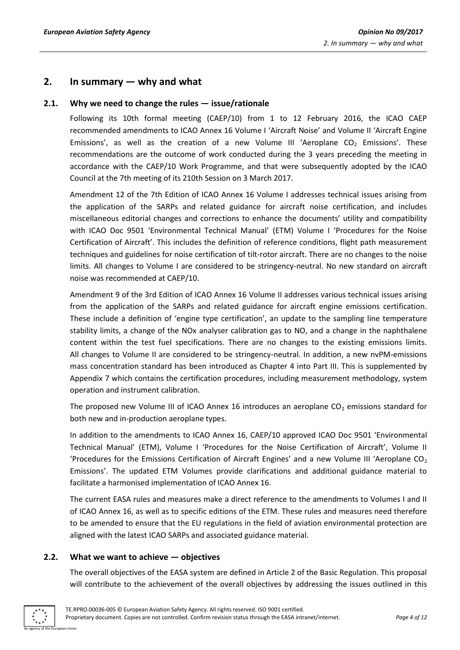# <span id="page-3-0"></span>**2. In summary — why and what**

## <span id="page-3-1"></span>**2.1. Why we need to change the rules — issue/rationale**

Following its 10th formal meeting (CAEP/10) from 1 to 12 February 2016, the ICAO CAEP recommended amendments to ICAO Annex 16 Volume I 'Aircraft Noise' and Volume II 'Aircraft Engine Emissions', as well as the creation of a new Volume III 'Aeroplane  $CO<sub>2</sub>$  Emissions'. These recommendations are the outcome of work conducted during the 3 years preceding the meeting in accordance with the CAEP/10 Work Programme, and that were subsequently adopted by the ICAO Council at the 7th meeting of its 210th Session on 3 March 2017.

Amendment 12 of the 7th Edition of ICAO Annex 16 Volume I addresses technical issues arising from the application of the SARPs and related guidance for aircraft noise certification, and includes miscellaneous editorial changes and corrections to enhance the documents' utility and compatibility with ICAO Doc 9501 'Environmental Technical Manual' (ETM) Volume I 'Procedures for the Noise Certification of Aircraft'. This includes the definition of reference conditions, flight path measurement techniques and guidelines for noise certification of tilt-rotor aircraft. There are no changes to the noise limits. All changes to Volume I are considered to be stringency-neutral. No new standard on aircraft noise was recommended at CAEP/10.

Amendment 9 of the 3rd Edition of ICAO Annex 16 Volume II addresses various technical issues arising from the application of the SARPs and related guidance for aircraft engine emissions certification. These include a definition of 'engine type certification', an update to the sampling line temperature stability limits, a change of the NOx analyser calibration gas to NO, and a change in the naphthalene content within the test fuel specifications. There are no changes to the existing emissions limits. All changes to Volume II are considered to be stringency-neutral. In addition, a new nvPM-emissions mass concentration standard has been introduced as Chapter 4 into Part III. This is supplemented by Appendix 7 which contains the certification procedures, including measurement methodology, system operation and instrument calibration.

The proposed new Volume III of ICAO Annex 16 introduces an aeroplane  $CO<sub>2</sub>$  emissions standard for both new and in-production aeroplane types.

In addition to the amendments to ICAO Annex 16, CAEP/10 approved ICAO Doc 9501 'Environmental Technical Manual' (ETM), Volume I 'Procedures for the Noise Certification of Aircraft', Volume II 'Procedures for the Emissions Certification of Aircraft Engines' and a new Volume III 'Aeroplane  $CO<sub>2</sub>$ Emissions'. The updated ETM Volumes provide clarifications and additional guidance material to facilitate a harmonised implementation of ICAO Annex 16.

The current EASA rules and measures make a direct reference to the amendments to Volumes I and II of ICAO Annex 16, as well as to specific editions of the ETM. These rules and measures need therefore to be amended to ensure that the EU regulations in the field of aviation environmental protection are aligned with the latest ICAO SARPs and associated guidance material.

#### <span id="page-3-2"></span>**2.2. What we want to achieve — objectives**

The overall objectives of the EASA system are defined in Article 2 of the Basic Regulation. This proposal will contribute to the achievement of the overall objectives by addressing the issues outlined in this

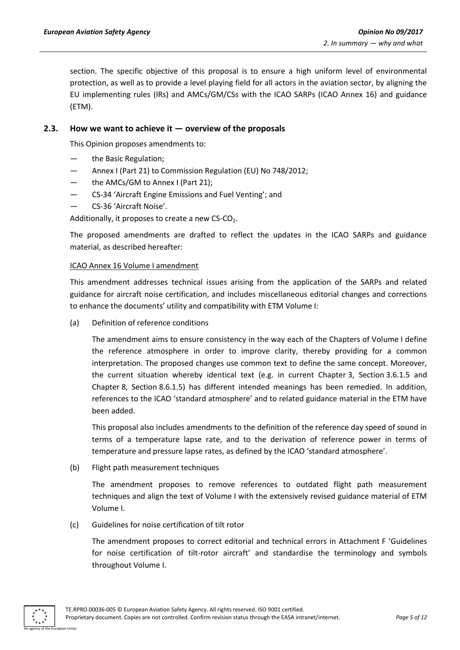section. The specific objective of this proposal is to ensure a high uniform level of environmental protection, as well as to provide a level playing field for all actors in the aviation sector, by aligning the EU implementing rules (IRs) and AMCs/GM/CSs with the ICAO SARPs (ICAO Annex 16) and guidance (ETM).

#### <span id="page-4-0"></span>**2.3. How we want to achieve it — overview of the proposals**

This Opinion proposes amendments to:

- the Basic Regulation;
- Annex I (Part 21) to Commission Regulation (EU) No 748/2012;
- the AMCs/GM to Annex I (Part 21):
- CS-34 'Aircraft Engine Emissions and Fuel Venting'; and
- CS-36 'Aircraft Noise'.

Additionally, it proposes to create a new  $CS$ - $CO<sub>2</sub>$ .

The proposed amendments are drafted to reflect the updates in the ICAO SARPs and guidance material, as described hereafter:

#### ICAO Annex 16 Volume I amendment

This amendment addresses technical issues arising from the application of the SARPs and related guidance for aircraft noise certification, and includes miscellaneous editorial changes and corrections to enhance the documents' utility and compatibility with ETM Volume I:

(a) Definition of reference conditions

The amendment aims to ensure consistency in the way each of the Chapters of Volume I define the reference atmosphere in order to improve clarity, thereby providing for a common interpretation. The proposed changes use common text to define the same concept. Moreover, the current situation whereby identical text (e.g. in current Chapter 3, Section 3.6.1.5 and Chapter 8, Section 8.6.1.5) has different intended meanings has been remedied. In addition, references to the ICAO 'standard atmosphere' and to related guidance material in the ETM have been added.

This proposal also includes amendments to the definition of the reference day speed of sound in terms of a temperature lapse rate, and to the derivation of reference power in terms of temperature and pressure lapse rates, as defined by the ICAO 'standard atmosphere'.

(b) Flight path measurement techniques

The amendment proposes to remove references to outdated flight path measurement techniques and align the text of Volume I with the extensively revised guidance material of ETM Volume I.

(c) Guidelines for noise certification of tilt rotor

The amendment proposes to correct editorial and technical errors in Attachment F 'Guidelines for noise certification of tilt-rotor aircraft' and standardise the terminology and symbols throughout Volume I.

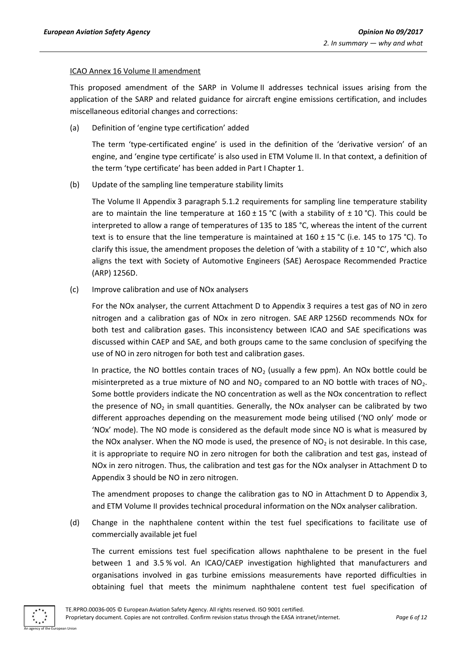#### ICAO Annex 16 Volume II amendment

This proposed amendment of the SARP in Volume II addresses technical issues arising from the application of the SARP and related guidance for aircraft engine emissions certification, and includes miscellaneous editorial changes and corrections:

(a) Definition of 'engine type certification' added

The term 'type-certificated engine' is used in the definition of the 'derivative version' of an engine, and 'engine type certificate' is also used in ETM Volume II. In that context, a definition of the term 'type certificate' has been added in Part I Chapter 1.

(b) Update of the sampling line temperature stability limits

The Volume II Appendix 3 paragraph 5.1.2 requirements for sampling line temperature stability are to maintain the line temperature at  $160 \pm 15$  °C (with a stability of  $\pm 10$  °C). This could be interpreted to allow a range of temperatures of 135 to 185 °C, whereas the intent of the current text is to ensure that the line temperature is maintained at  $160 \pm 15$  °C (i.e. 145 to 175 °C). To clarify this issue, the amendment proposes the deletion of 'with a stability of  $\pm$  10 °C', which also aligns the text with Society of Automotive Engineers (SAE) Aerospace Recommended Practice (ARP) 1256D.

(c) Improve calibration and use of NOx analysers

For the NOx analyser, the current Attachment D to Appendix 3 requires a test gas of NO in zero nitrogen and a calibration gas of NOx in zero nitrogen. SAE ARP 1256D recommends NOx for both test and calibration gases. This inconsistency between ICAO and SAE specifications was discussed within CAEP and SAE, and both groups came to the same conclusion of specifying the use of NO in zero nitrogen for both test and calibration gases.

In practice, the NO bottles contain traces of  $NO<sub>2</sub>$  (usually a few ppm). An NOx bottle could be misinterpreted as a true mixture of NO and  $NO<sub>2</sub>$  compared to an NO bottle with traces of NO<sub>2</sub>. Some bottle providers indicate the NO concentration as well as the NOx concentration to reflect the presence of  $NO<sub>2</sub>$  in small quantities. Generally, the NOx analyser can be calibrated by two different approaches depending on the measurement mode being utilised ('NO only' mode or 'NOx' mode). The NO mode is considered as the default mode since NO is what is measured by the NOx analyser. When the NO mode is used, the presence of  $NO<sub>2</sub>$  is not desirable. In this case, it is appropriate to require NO in zero nitrogen for both the calibration and test gas, instead of NOx in zero nitrogen. Thus, the calibration and test gas for the NOx analyser in Attachment D to Appendix 3 should be NO in zero nitrogen.

The amendment proposes to change the calibration gas to NO in Attachment D to Appendix 3, and ETM Volume II provides technical procedural information on the NOx analyser calibration.

(d) Change in the naphthalene content within the test fuel specifications to facilitate use of commercially available jet fuel

The current emissions test fuel specification allows naphthalene to be present in the fuel between 1 and 3.5 % vol. An ICAO/CAEP investigation highlighted that manufacturers and organisations involved in gas turbine emissions measurements have reported difficulties in obtaining fuel that meets the minimum naphthalene content test fuel specification of

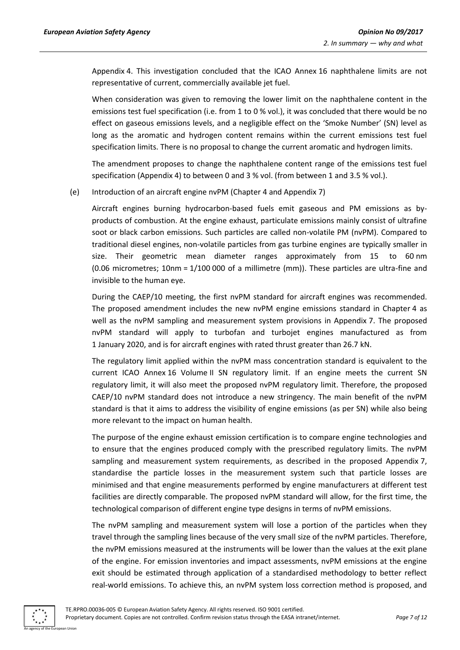Appendix 4. This investigation concluded that the ICAO Annex 16 naphthalene limits are not representative of current, commercially available jet fuel.

When consideration was given to removing the lower limit on the naphthalene content in the emissions test fuel specification (i.e. from 1 to 0 % vol.), it was concluded that there would be no effect on gaseous emissions levels, and a negligible effect on the 'Smoke Number' (SN) level as long as the aromatic and hydrogen content remains within the current emissions test fuel specification limits. There is no proposal to change the current aromatic and hydrogen limits.

The amendment proposes to change the naphthalene content range of the emissions test fuel specification (Appendix 4) to between 0 and 3 % vol. (from between 1 and 3.5 % vol.).

#### (e) Introduction of an aircraft engine nvPM (Chapter 4 and Appendix 7)

Aircraft engines burning hydrocarbon-based fuels emit gaseous and PM emissions as byproducts of combustion. At the engine exhaust, particulate emissions mainly consist of ultrafine soot or black carbon emissions. Such particles are called non-volatile PM (nvPM). Compared to traditional diesel engines, non-volatile particles from gas turbine engines are typically smaller in size. Their geometric mean diameter ranges approximately from 15 to 60 nm (0.06 micrometres; 10nm = 1/100 000 of a millimetre (mm)). These particles are ultra-fine and invisible to the human eye.

During the CAEP/10 meeting, the first nvPM standard for aircraft engines was recommended. The proposed amendment includes the new nvPM engine emissions standard in Chapter 4 as well as the nvPM sampling and measurement system provisions in Appendix 7. The proposed nvPM standard will apply to turbofan and turbojet engines manufactured as from 1 January 2020, and is for aircraft engines with rated thrust greater than 26.7 kN.

The regulatory limit applied within the nvPM mass concentration standard is equivalent to the current ICAO Annex 16 Volume II SN regulatory limit. If an engine meets the current SN regulatory limit, it will also meet the proposed nvPM regulatory limit. Therefore, the proposed CAEP/10 nvPM standard does not introduce a new stringency. The main benefit of the nvPM standard is that it aims to address the visibility of engine emissions (as per SN) while also being more relevant to the impact on human health.

The purpose of the engine exhaust emission certification is to compare engine technologies and to ensure that the engines produced comply with the prescribed regulatory limits. The nvPM sampling and measurement system requirements, as described in the proposed Appendix 7, standardise the particle losses in the measurement system such that particle losses are minimised and that engine measurements performed by engine manufacturers at different test facilities are directly comparable. The proposed nvPM standard will allow, for the first time, the technological comparison of different engine type designs in terms of nvPM emissions.

The nvPM sampling and measurement system will lose a portion of the particles when they travel through the sampling lines because of the very small size of the nvPM particles. Therefore, the nvPM emissions measured at the instruments will be lower than the values at the exit plane of the engine. For emission inventories and impact assessments, nvPM emissions at the engine exit should be estimated through application of a standardised methodology to better reflect real-world emissions. To achieve this, an nvPM system loss correction method is proposed, and

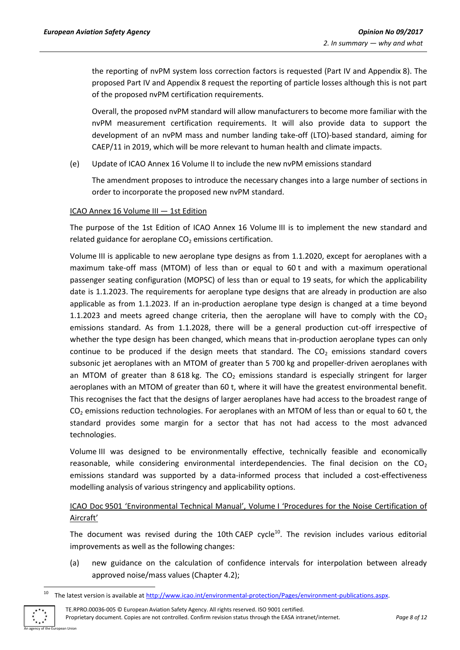the reporting of nvPM system loss correction factors is requested (Part IV and Appendix 8). The proposed Part IV and Appendix 8 request the reporting of particle losses although this is not part of the proposed nvPM certification requirements.

Overall, the proposed nvPM standard will allow manufacturers to become more familiar with the nvPM measurement certification requirements. It will also provide data to support the development of an nvPM mass and number landing take-off (LTO)-based standard, aiming for CAEP/11 in 2019, which will be more relevant to human health and climate impacts.

(e) Update of ICAO Annex 16 Volume II to include the new nvPM emissions standard

The amendment proposes to introduce the necessary changes into a large number of sections in order to incorporate the proposed new nvPM standard.

#### ICAO Annex 16 Volume III — 1st Edition

The purpose of the 1st Edition of ICAO Annex 16 Volume III is to implement the new standard and related guidance for aeroplane  $CO<sub>2</sub>$  emissions certification.

Volume III is applicable to new aeroplane type designs as from 1.1.2020, except for aeroplanes with a maximum take-off mass (MTOM) of less than or equal to 60 t and with a maximum operational passenger seating configuration (MOPSC) of less than or equal to 19 seats, for which the applicability date is 1.1.2023. The requirements for aeroplane type designs that are already in production are also applicable as from 1.1.2023. If an in-production aeroplane type design is changed at a time beyond 1.1.2023 and meets agreed change criteria, then the aeroplane will have to comply with the  $CO<sub>2</sub>$ emissions standard. As from 1.1.2028, there will be a general production cut-off irrespective of whether the type design has been changed, which means that in-production aeroplane types can only continue to be produced if the design meets that standard. The  $CO<sub>2</sub>$  emissions standard covers subsonic jet aeroplanes with an MTOM of greater than 5 700 kg and propeller-driven aeroplanes with an MTOM of greater than 8 618 kg. The  $CO<sub>2</sub>$  emissions standard is especially stringent for larger aeroplanes with an MTOM of greater than 60 t, where it will have the greatest environmental benefit. This recognises the fact that the designs of larger aeroplanes have had access to the broadest range of CO<sub>2</sub> emissions reduction technologies. For aeroplanes with an MTOM of less than or equal to 60 t, the standard provides some margin for a sector that has not had access to the most advanced technologies.

Volume III was designed to be environmentally effective, technically feasible and economically reasonable, while considering environmental interdependencies. The final decision on the  $CO<sub>2</sub>$ emissions standard was supported by a data-informed process that included a cost-effectiveness modelling analysis of various stringency and applicability options.

# ICAO Doc 9501 'Environmental Technical Manual', Volume I 'Procedures for the Noise Certification of Aircraft'

The document was revised during the 10th CAEP cycle<sup>10</sup>. The revision includes various editorial improvements as well as the following changes:

(a) new guidance on the calculation of confidence intervals for interpolation between already approved noise/mass values (Chapter 4.2);

The latest version is available at [http://www.icao.int/environmental-protection/Pages/environment-publications.aspx.](http://www.icao.int/environmental-protection/Pages/environment-publications.aspx)



1

TE.RPRO.00036-005 © European Aviation Safety Agency. All rights reserved. ISO 9001 certified. Proprietary document. Copies are not controlled. Confirm revision status through the EASA intranet/internet. *Page 8 of 12*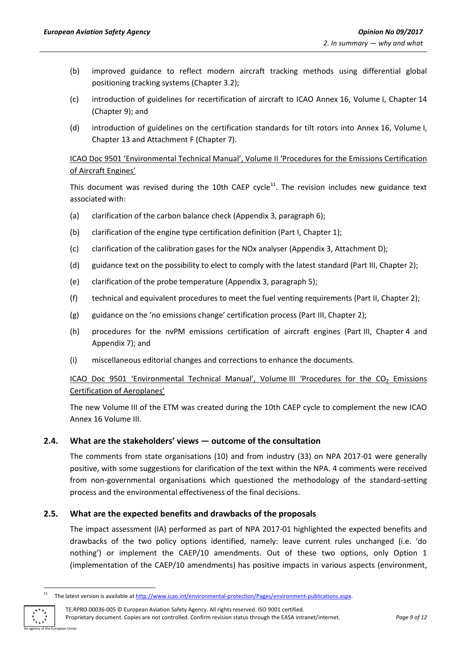- (b) improved guidance to reflect modern aircraft tracking methods using differential global positioning tracking systems (Chapter 3.2);
- (c) introduction of guidelines for recertification of aircraft to ICAO Annex 16, Volume I, Chapter 14 (Chapter 9); and
- (d) introduction of guidelines on the certification standards for tilt rotors into Annex 16, Volume I, Chapter 13 and Attachment F (Chapter 7).

## ICAO Doc 9501 'Environmental Technical Manual', Volume II 'Procedures for the Emissions Certification of Aircraft Engines'

This document was revised during the 10th CAEP cycle<sup>11</sup>. The revision includes new guidance text associated with:

- (a) clarification of the carbon balance check (Appendix 3, paragraph 6);
- (b) clarification of the engine type certification definition (Part I, Chapter 1);
- (c) clarification of the calibration gases for the NOx analyser (Appendix 3, Attachment D);
- (d) guidance text on the possibility to elect to comply with the latest standard (Part III, Chapter 2);
- (e) clarification of the probe temperature (Appendix 3, paragraph 5);
- (f) technical and equivalent procedures to meet the fuel venting requirements (Part II, Chapter 2);
- (g) guidance on the 'no emissions change' certification process (Part III, Chapter 2);
- (h) procedures for the nvPM emissions certification of aircraft engines (Part III, Chapter 4 and Appendix 7); and
- (i) miscellaneous editorial changes and corrections to enhance the documents.

# ICAO Doc 9501 'Environmental Technical Manual', Volume III 'Procedures for the CO<sub>2</sub> Emissions Certification of Aeroplanes'

The new Volume III of the ETM was created during the 10th CAEP cycle to complement the new ICAO Annex 16 Volume III.

## <span id="page-8-0"></span>**2.4. What are the stakeholders' views — outcome of the consultation**

The comments from state organisations (10) and from industry (33) on NPA 2017-01 were generally positive, with some suggestions for clarification of the text within the NPA. 4 comments were received from non-governmental organisations which questioned the methodology of the standard-setting process and the environmental effectiveness of the final decisions.

## <span id="page-8-1"></span>**2.5. What are the expected benefits and drawbacks of the proposals**

The impact assessment (IA) performed as part of NPA 2017-01 highlighted the expected benefits and drawbacks of the two policy options identified, namely: leave current rules unchanged (i.e. 'do nothing') or implement the CAEP/10 amendments. Out of these two options, only Option 1 (implementation of the CAEP/10 amendments) has positive impacts in various aspects (environment,

An agency of the European Union

 $11\,$ <sup>11</sup> The latest version is available a[t http://www.icao.int/environmental-protection/Pages/environment-publications.aspx.](http://www.icao.int/environmental-protection/Pages/environment-publications.aspx)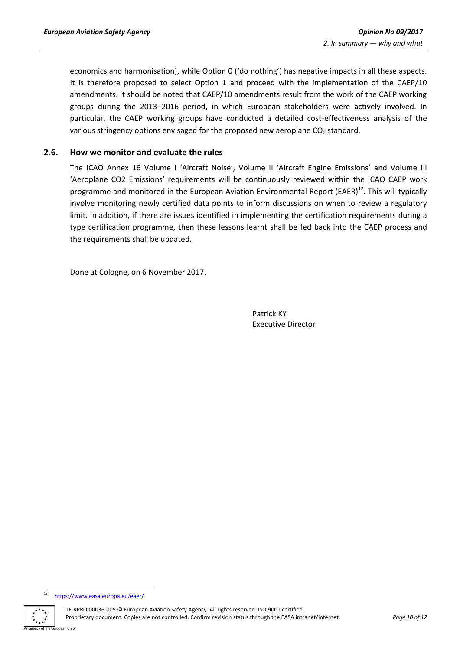economics and harmonisation), while Option 0 ('do nothing') has negative impacts in all these aspects. It is therefore proposed to select Option 1 and proceed with the implementation of the CAEP/10 amendments. It should be noted that CAEP/10 amendments result from the work of the CAEP working groups during the 2013–2016 period, in which European stakeholders were actively involved. In particular, the CAEP working groups have conducted a detailed cost-effectiveness analysis of the various stringency options envisaged for the proposed new aeroplane  $CO<sub>2</sub>$  standard.

#### <span id="page-9-0"></span>**2.6. How we monitor and evaluate the rules**

The ICAO Annex 16 Volume I 'Aircraft Noise', Volume II 'Aircraft Engine Emissions' and Volume III 'Aeroplane CO2 Emissions' requirements will be continuously reviewed within the ICAO CAEP work programme and monitored in the European Aviation Environmental Report (EAER)<sup>12</sup>. This will typically involve monitoring newly certified data points to inform discussions on when to review a regulatory limit. In addition, if there are issues identified in implementing the certification requirements during a type certification programme, then these lessons learnt shall be fed back into the CAEP process and the requirements shall be updated.

Done at Cologne, on 6 November 2017.

Patrick KY Executive Director

 $12$ <https://www.easa.europa.eu/eaer/>



TE.RPRO.00036-005 © European Aviation Safety Agency. All rights reserved. ISO 9001 certified. Proprietary document. Copies are not controlled. Confirm revision status through the EASA intranet/internet. *Page 10 of 12*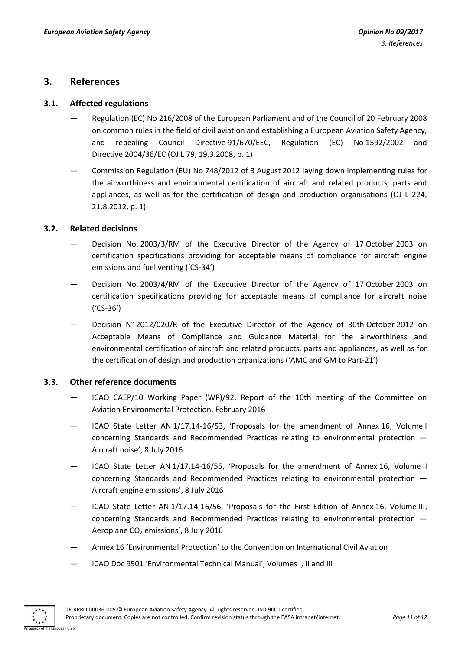## <span id="page-10-0"></span>**3. References**

#### <span id="page-10-1"></span>**3.1. Affected regulations**

- Regulation (EC) No 216/2008 of the European Parliament and of the Council of 20 February 2008 on common rules in the field of civil aviation and establishing a European Aviation Safety Agency, and repealing Council Directive 91/670/EEC, Regulation (EC) No 1592/2002 and Directive 2004/36/EC (OJ L 79, 19.3.2008, p. 1)
- Commission Regulation (EU) No 748/2012 of 3 August 2012 laying down implementing rules for the airworthiness and environmental certification of aircraft and related products, parts and appliances, as well as for the certification of design and production organisations (OJ L 224, 21.8.2012, p. 1)

#### <span id="page-10-2"></span>**3.2. Related decisions**

- Decision No. 2003/3/RM of the Executive Director of the Agency of 17 October 2003 on certification specifications providing for acceptable means of compliance for aircraft engine emissions and fuel venting ('CS-34')
- Decision No. 2003/4/RM of the Executive Director of the Agency of 17 October 2003 on certification specifications providing for acceptable means of compliance for aircraft noise ('CS-36')
- Decision N° 2012/020/R of the Executive Director of the Agency of 30th October 2012 on Acceptable Means of Compliance and Guidance Material for the airworthiness and environmental certification of aircraft and related products, parts and appliances, as well as for the certification of design and production organizations ('AMC and GM to Part-21')

#### <span id="page-10-3"></span>**3.3. Other reference documents**

- ICAO CAEP/10 Working Paper (WP)/92, Report of the 10th meeting of the Committee on Aviation Environmental Protection, February 2016
- ICAO State Letter AN 1/17.14-16/53, 'Proposals for the amendment of Annex 16, Volume I concerning Standards and Recommended Practices relating to environmental protection — Aircraft noise', 8 July 2016
- ICAO State Letter AN 1/17.14-16/55, 'Proposals for the amendment of Annex 16, Volume II concerning Standards and Recommended Practices relating to environmental protection — Aircraft engine emissions', 8 July 2016
- ICAO State Letter AN 1/17.14-16/56, 'Proposals for the First Edition of Annex 16, Volume III, concerning Standards and Recommended Practices relating to environmental protection — Aeroplane  $CO<sub>2</sub>$  emissions', 8 July 2016
- Annex 16 'Environmental Protection' to the Convention on International Civil Aviation
- ICAO Doc 9501 'Environmental Technical Manual', Volumes I, II and III